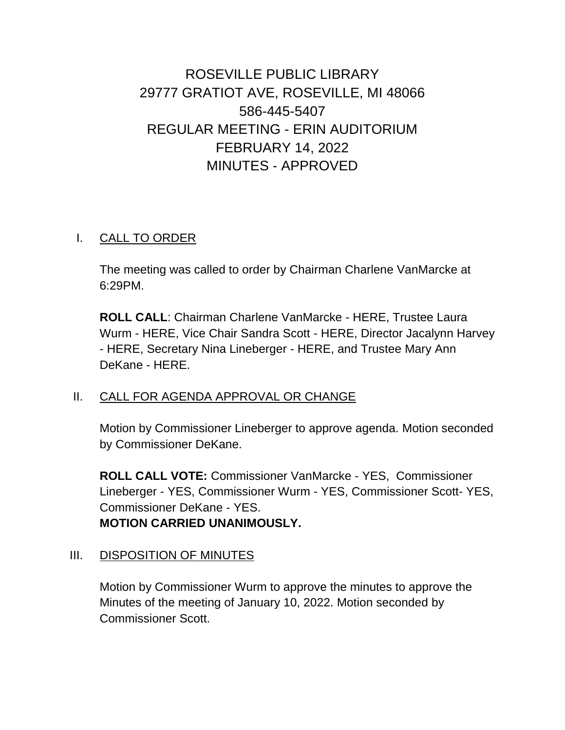# ROSEVILLE PUBLIC LIBRARY 29777 GRATIOT AVE, ROSEVILLE, MI 48066 586-445-5407 REGULAR MEETING - ERIN AUDITORIUM FEBRUARY 14, 2022 MINUTES - APPROVED

#### I. CALL TO ORDER

The meeting was called to order by Chairman Charlene VanMarcke at 6:29PM.

**ROLL CALL**: Chairman Charlene VanMarcke - HERE, Trustee Laura Wurm - HERE, Vice Chair Sandra Scott - HERE, Director Jacalynn Harvey - HERE, Secretary Nina Lineberger - HERE, and Trustee Mary Ann DeKane - HERE.

#### II. CALL FOR AGENDA APPROVAL OR CHANGE

Motion by Commissioner Lineberger to approve agenda. Motion seconded by Commissioner DeKane.

**ROLL CALL VOTE:** Commissioner VanMarcke - YES, Commissioner Lineberger - YES, Commissioner Wurm - YES, Commissioner Scott- YES, Commissioner DeKane - YES. **MOTION CARRIED UNANIMOUSLY.**

## III. DISPOSITION OF MINUTES

Motion by Commissioner Wurm to approve the minutes to approve the Minutes of the meeting of January 10, 2022. Motion seconded by Commissioner Scott.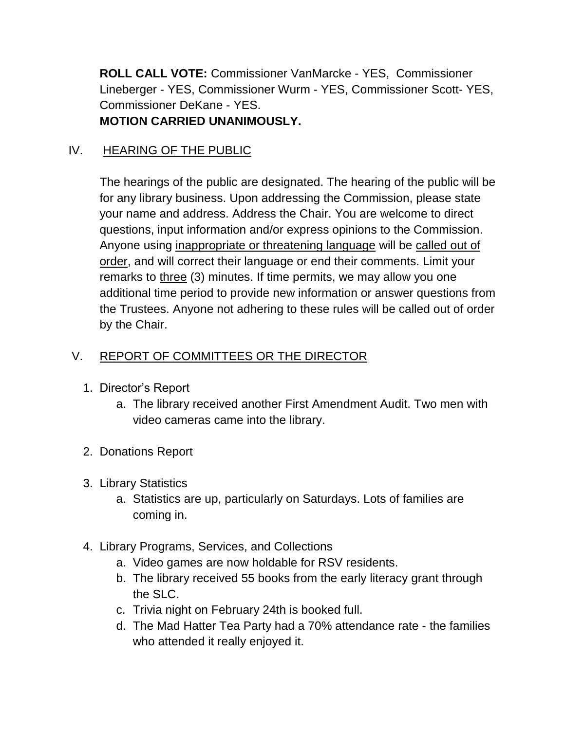**ROLL CALL VOTE:** Commissioner VanMarcke - YES, Commissioner Lineberger - YES, Commissioner Wurm - YES, Commissioner Scott- YES, Commissioner DeKane - YES. **MOTION CARRIED UNANIMOUSLY.**

## IV. HEARING OF THE PUBLIC

The hearings of the public are designated. The hearing of the public will be for any library business. Upon addressing the Commission, please state your name and address. Address the Chair. You are welcome to direct questions, input information and/or express opinions to the Commission. Anyone using inappropriate or threatening language will be called out of order, and will correct their language or end their comments. Limit your remarks to three (3) minutes. If time permits, we may allow you one additional time period to provide new information or answer questions from the Trustees. Anyone not adhering to these rules will be called out of order by the Chair.

## V. REPORT OF COMMITTEES OR THE DIRECTOR

- 1. Director's Report
	- a. The library received another First Amendment Audit. Two men with video cameras came into the library.
- 2. Donations Report
- 3. Library Statistics
	- a. Statistics are up, particularly on Saturdays. Lots of families are coming in.
- 4. Library Programs, Services, and Collections
	- a. Video games are now holdable for RSV residents.
	- b. The library received 55 books from the early literacy grant through the SLC.
	- c. Trivia night on February 24th is booked full.
	- d. The Mad Hatter Tea Party had a 70% attendance rate the families who attended it really enjoyed it.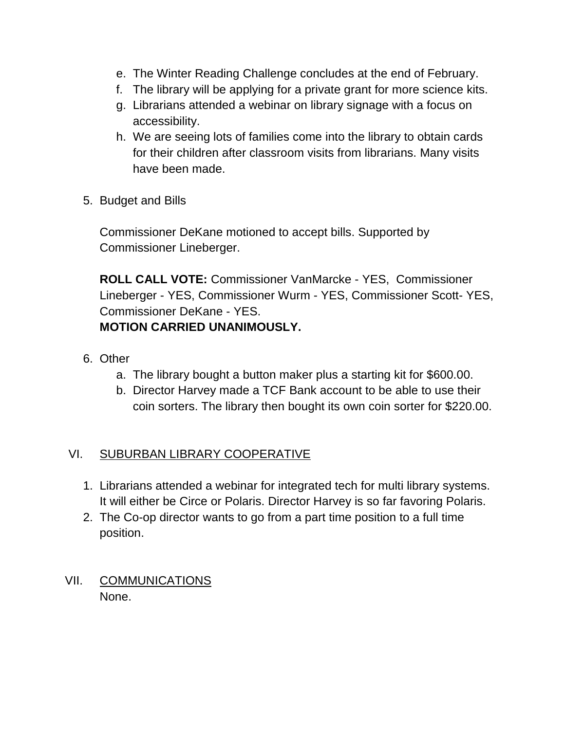- e. The Winter Reading Challenge concludes at the end of February.
- f. The library will be applying for a private grant for more science kits.
- g. Librarians attended a webinar on library signage with a focus on accessibility.
- h. We are seeing lots of families come into the library to obtain cards for their children after classroom visits from librarians. Many visits have been made.
- 5. Budget and Bills

Commissioner DeKane motioned to accept bills. Supported by Commissioner Lineberger.

**ROLL CALL VOTE:** Commissioner VanMarcke - YES, Commissioner Lineberger - YES, Commissioner Wurm - YES, Commissioner Scott- YES, Commissioner DeKane - YES. **MOTION CARRIED UNANIMOUSLY.**

- 6. Other
	- a. The library bought a button maker plus a starting kit for \$600.00.
	- b. Director Harvey made a TCF Bank account to be able to use their coin sorters. The library then bought its own coin sorter for \$220.00.

## VI. SUBURBAN LIBRARY COOPERATIVE

- 1. Librarians attended a webinar for integrated tech for multi library systems. It will either be Circe or Polaris. Director Harvey is so far favoring Polaris.
- 2. The Co-op director wants to go from a part time position to a full time position.
- VII. COMMUNICATIONS None.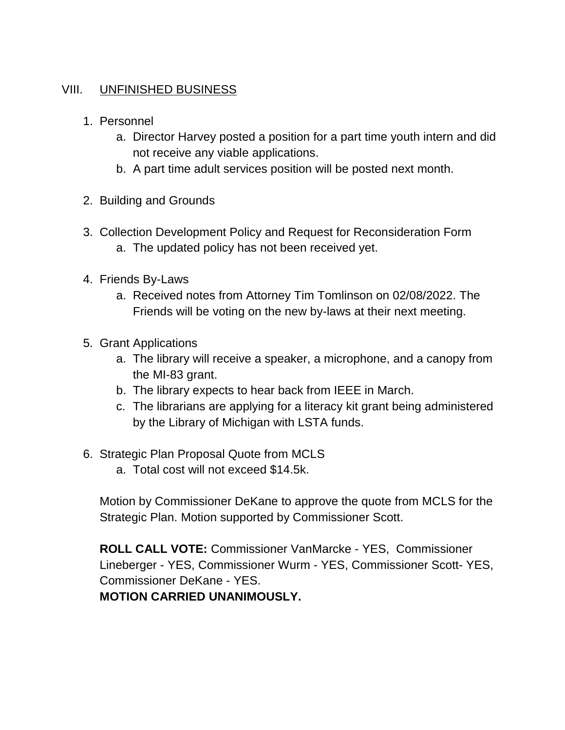#### VIII. UNFINISHED BUSINESS

- 1. Personnel
	- a. Director Harvey posted a position for a part time youth intern and did not receive any viable applications.
	- b. A part time adult services position will be posted next month.
- 2. Building and Grounds
- 3. Collection Development Policy and Request for Reconsideration Form a. The updated policy has not been received yet.
- 4. Friends By-Laws
	- a. Received notes from Attorney Tim Tomlinson on 02/08/2022. The Friends will be voting on the new by-laws at their next meeting.
- 5. Grant Applications
	- a. The library will receive a speaker, a microphone, and a canopy from the MI-83 grant.
	- b. The library expects to hear back from IEEE in March.
	- c. The librarians are applying for a literacy kit grant being administered by the Library of Michigan with LSTA funds.
- 6. Strategic Plan Proposal Quote from MCLS
	- a. Total cost will not exceed \$14.5k.

Motion by Commissioner DeKane to approve the quote from MCLS for the Strategic Plan. Motion supported by Commissioner Scott.

**ROLL CALL VOTE:** Commissioner VanMarcke - YES, Commissioner Lineberger - YES, Commissioner Wurm - YES, Commissioner Scott- YES, Commissioner DeKane - YES.

**MOTION CARRIED UNANIMOUSLY.**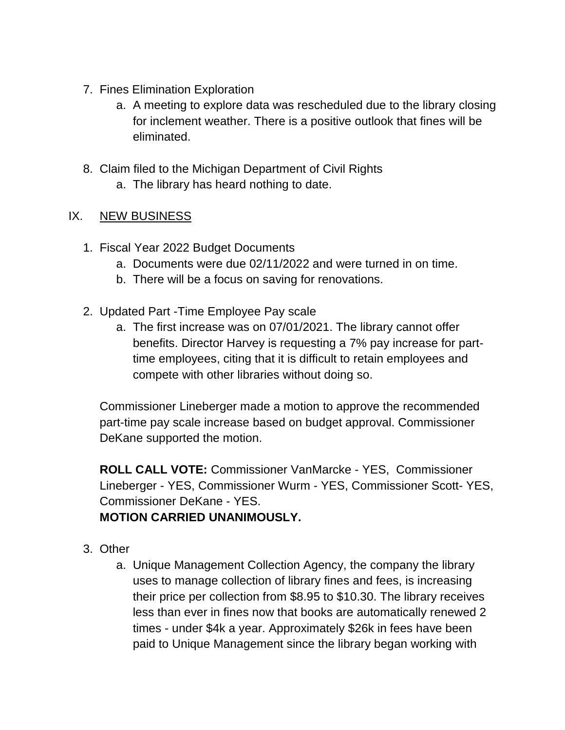- 7. Fines Elimination Exploration
	- a. A meeting to explore data was rescheduled due to the library closing for inclement weather. There is a positive outlook that fines will be eliminated.
- 8. Claim filed to the Michigan Department of Civil Rights
	- a. The library has heard nothing to date.

## IX. NEW BUSINESS

- 1. Fiscal Year 2022 Budget Documents
	- a. Documents were due 02/11/2022 and were turned in on time.
	- b. There will be a focus on saving for renovations.
- 2. Updated Part -Time Employee Pay scale
	- a. The first increase was on 07/01/2021. The library cannot offer benefits. Director Harvey is requesting a 7% pay increase for parttime employees, citing that it is difficult to retain employees and compete with other libraries without doing so.

Commissioner Lineberger made a motion to approve the recommended part-time pay scale increase based on budget approval. Commissioner DeKane supported the motion.

**ROLL CALL VOTE:** Commissioner VanMarcke - YES, Commissioner Lineberger - YES, Commissioner Wurm - YES, Commissioner Scott- YES, Commissioner DeKane - YES.

## **MOTION CARRIED UNANIMOUSLY.**

- 3. Other
	- a. Unique Management Collection Agency, the company the library uses to manage collection of library fines and fees, is increasing their price per collection from \$8.95 to \$10.30. The library receives less than ever in fines now that books are automatically renewed 2 times - under \$4k a year. Approximately \$26k in fees have been paid to Unique Management since the library began working with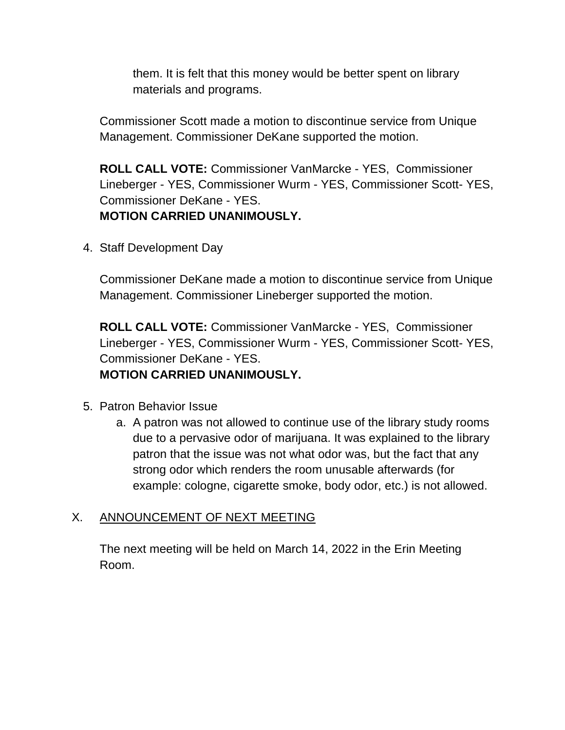them. It is felt that this money would be better spent on library materials and programs.

Commissioner Scott made a motion to discontinue service from Unique Management. Commissioner DeKane supported the motion.

**ROLL CALL VOTE:** Commissioner VanMarcke - YES, Commissioner Lineberger - YES, Commissioner Wurm - YES, Commissioner Scott- YES, Commissioner DeKane - YES. **MOTION CARRIED UNANIMOUSLY.**

4. Staff Development Day

Commissioner DeKane made a motion to discontinue service from Unique Management. Commissioner Lineberger supported the motion.

**ROLL CALL VOTE:** Commissioner VanMarcke - YES, Commissioner Lineberger - YES, Commissioner Wurm - YES, Commissioner Scott- YES, Commissioner DeKane - YES. **MOTION CARRIED UNANIMOUSLY.**

- 5. Patron Behavior Issue
	- a. A patron was not allowed to continue use of the library study rooms due to a pervasive odor of marijuana. It was explained to the library patron that the issue was not what odor was, but the fact that any strong odor which renders the room unusable afterwards (for example: cologne, cigarette smoke, body odor, etc.) is not allowed.

#### X. ANNOUNCEMENT OF NEXT MEETING

The next meeting will be held on March 14, 2022 in the Erin Meeting Room.